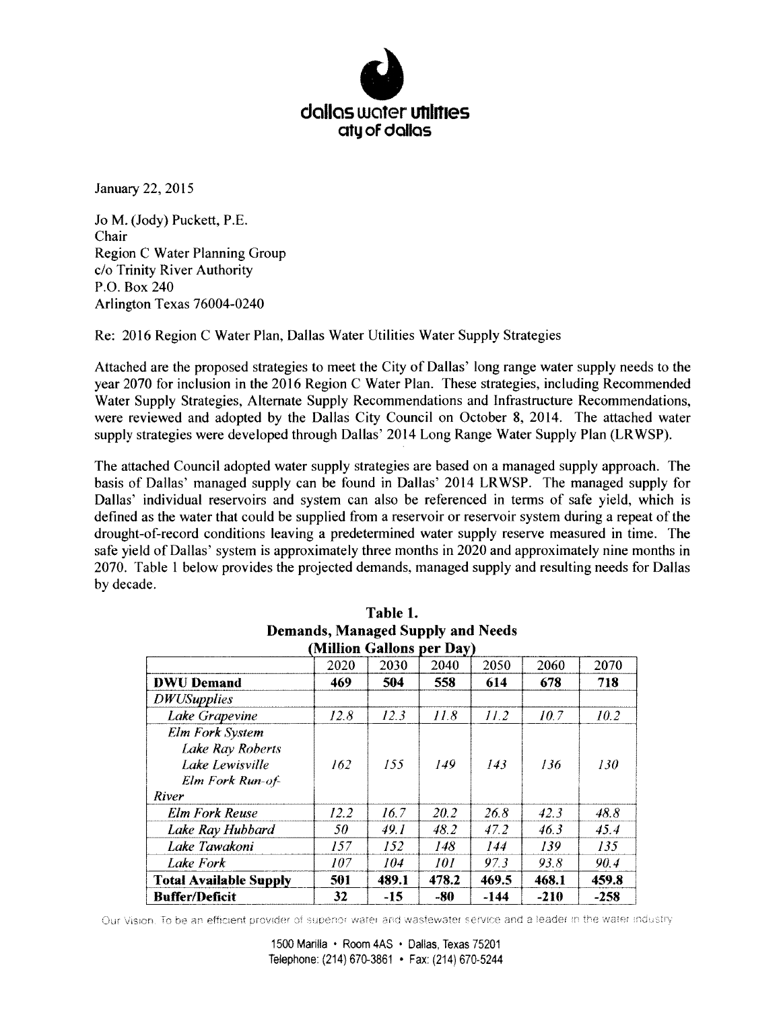

January 22, 2015

Jo M. (Jody) Puckett, RE. Chair Region C Water Planning Group c/o Trinity River Authority P.O. Box 240 Arlington fexas 76004-0240

Re: 2016 Region C Water Plan, Dallas Water Utilities Water Supply Strategies

Attached are the proposed strategies to meet the City of Dallas' long range water supply needs to the year 2070 for inclusion in the 2016 Region C Water Plan. These strategies, including Recommended Water Supply Strategies. Alternate Supply Recommendations and Infrastructure Recommendations. were reviewed and adopted by the Dallas City Council on October 8, 2014. The attached water supply strategies were developed through Dallas' 2014 Long Range Water Supply Plan (LRWSP).

The attached Council adopted water supply strategies are based on a managed supply approach. The basis of Dallas' managed supply can be found in Dallas' 2014 LRWSP. The managed supply for Dallas' individual reservoirs and system can also be referenced in terms of safe yield, which is defined as the water that could be supplied from a reservoir or reservoir system during a repeat of the drought-of-record conditions leaving a predetermined water supply reserve measured in time. The safe yield of Dallas' system is approximately three months in 2020 and approximately nine months in 2070. Table <sup>1</sup> below provides the projected demands, managed supply and resulting needs for Dallas by decade.

|                               | (Million Gallons per Day) |       |       |       |        |        |
|-------------------------------|---------------------------|-------|-------|-------|--------|--------|
|                               | 2020                      | 2030  | 2040  | 2050  | 2060   | 2070   |
| <b>DWU</b> Demand             | 469                       | 504   | 558   | 614   | 678    | 718    |
| <b>DWUSupplies</b>            |                           |       |       |       |        |        |
| Lake Grapevine                | 12.8                      | 12.3  | 11.8  | 11.2  | 10.7   | 10.2   |
| <b>Elm Fork System</b>        |                           |       |       |       |        |        |
| <b>Lake Ray Roberts</b>       |                           |       |       |       |        |        |
| Lake Lewisville               | 162                       | 155   | 149   | 143   | 136    | 130    |
| <b>Elm Fork Run-of-</b>       |                           |       |       |       |        |        |
| River                         |                           |       |       |       |        |        |
| <b>Elm Fork Reuse</b>         | 12.2                      | 16.7  | 20.2  | 26.8  | 42.3   | 48.8   |
| Lake Ray Hubbard              | 50                        | 49.1  | 48.2  | 47.2  | 46.3   | 45.4   |
| Lake Tawakoni                 | 157                       | 152   | 148   | 144   | 139    | 135    |
| Lake Fork                     | 107                       | 104   | 101   | 97.3  | 93.8   | 90.4   |
| <b>Total Available Supply</b> | 501                       | 489.1 | 478.2 | 469.5 | 468.1  | 459.8  |
| <b>Buffer/Deficit</b>         | 32                        | $-15$ | -80   | -144  | $-210$ | $-258$ |

| Table 1.                                 |  |  |  |  |  |
|------------------------------------------|--|--|--|--|--|
| <b>Demands, Managed Supply and Needs</b> |  |  |  |  |  |
| (Million Gallons per Dav)                |  |  |  |  |  |

Our Vision. To be an efficient provider of superior water and wastewater service and a leader in the water industry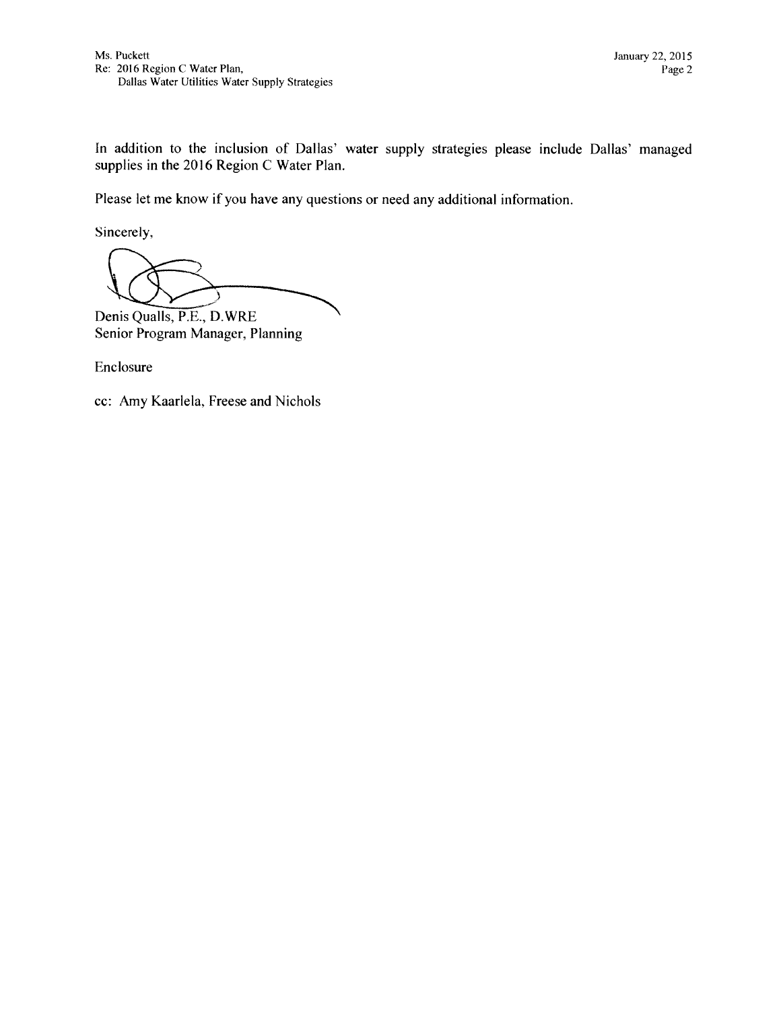In addition to the inclusion of Dallas' water supply strategies please include Dallas' managed supplies in the 2016 Region C Water Plan.

Please let me know if you have any questions or need any additional information.

Sincerely,

Denis Qualls, P.E., D.WRE Senior Program Manager, Planning

Enclosure

cc: Amy Kaarlela, Freese and Nichols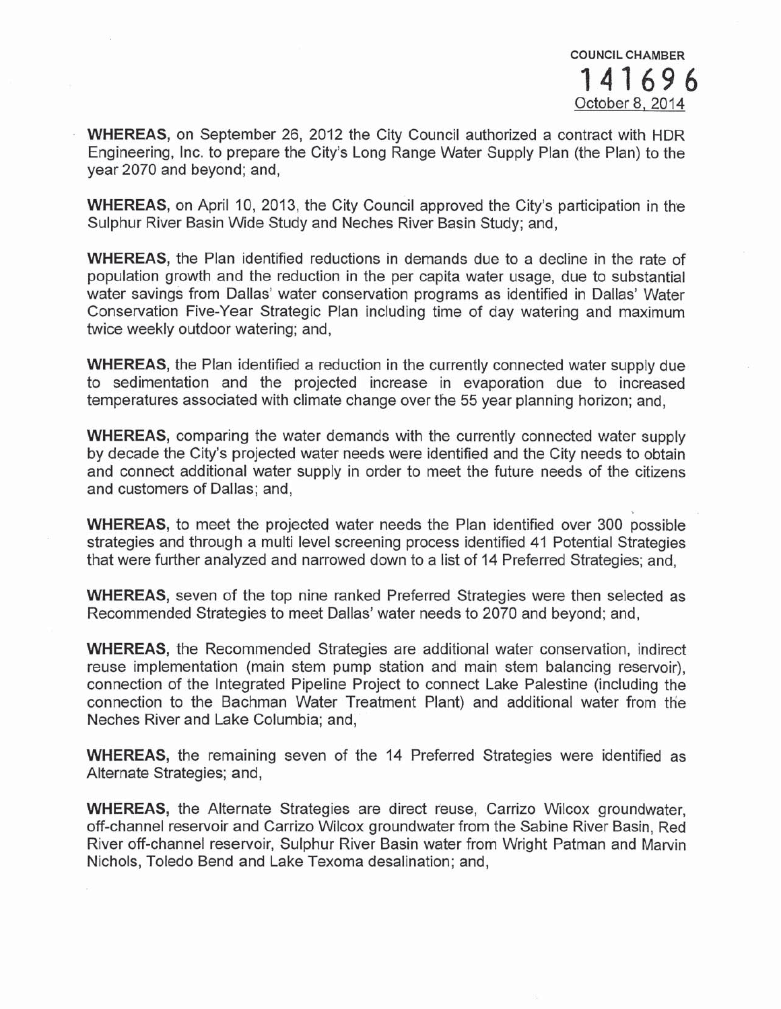WHEREAS, on September 26, 2012 the City Council authorized a contract with HDR Engineering, Inc. to prepare the City's Long Range Water Supply Plan (the Plan) to the year 2070 and beyond; and,

**WHEREAS, on April 10, 2013, the City Council approved the City's participation in the** Sulphur River Basin Wide Study and Neches River Basin Study; and,

**WHEREAS**, the Plan identified reductions in demands due to a decline in the rate of population growth and the reduction in the per capita water usage, due to substantial water savings from Dallas' water conservation programs as identified in Dallas' Water Conservation Five-Year Strategic Plan including time of day watering and maximum twice weekly outdoor watering; and,

**WHEREAS, the Plan identified a reduction in the currently connected water supply due** to sedimentation and the projected increase in evaporation due to increased temperatures associated with climate change over the 55 year planning horizon; and,

**WHEREAS, comparing the water demands with the currently connected water supply** by decade the City's projected water needs were identified and the City needs to obtain and connect additional water supply in order to meet the future needs of the citizens and customers of Dallas; and,

**WHEREAS,** to meet the projected water needs the Plan identified over 300 possible strategies and through a multi level screening process identified 41 Potential Strategies that were further analyzed and narrowed down to a list of 14 Preferred Strategies; and,

**WHEREAS,** seven of the top nine ranked Preferred Strategies were then selected as Recommended Strategies to meet Dallas' water needs to 2070 and beyond; and,

**WHEREAS, the Recommended Strategies are additional water conservation, indirect** reuse implementation (main stem pump station and main stem balancing reservoir). connection of the Integrated Pipeline Project to connect Lake Palestine (including the connection to the Bachman Water Treatment Plant) and additional water from the Neches River and Lake Columbia; and,

**WHEREAS,** the remaining seven of the 14 Preferred Strategies were identified as Alternate Strategies; and,

**WHEREAS,** the Alternate Strategies are direct reuse, Carrizo Wilcox groundwater, off-channel reservoir and Carrizo Wilcox groundwater from the Sabine River Basin, Red River off-channel reservoir, Sulphur River Basin water from Wright Patman and Marvin Nichols, Toledo Bend and Lake Texoma desalination; and,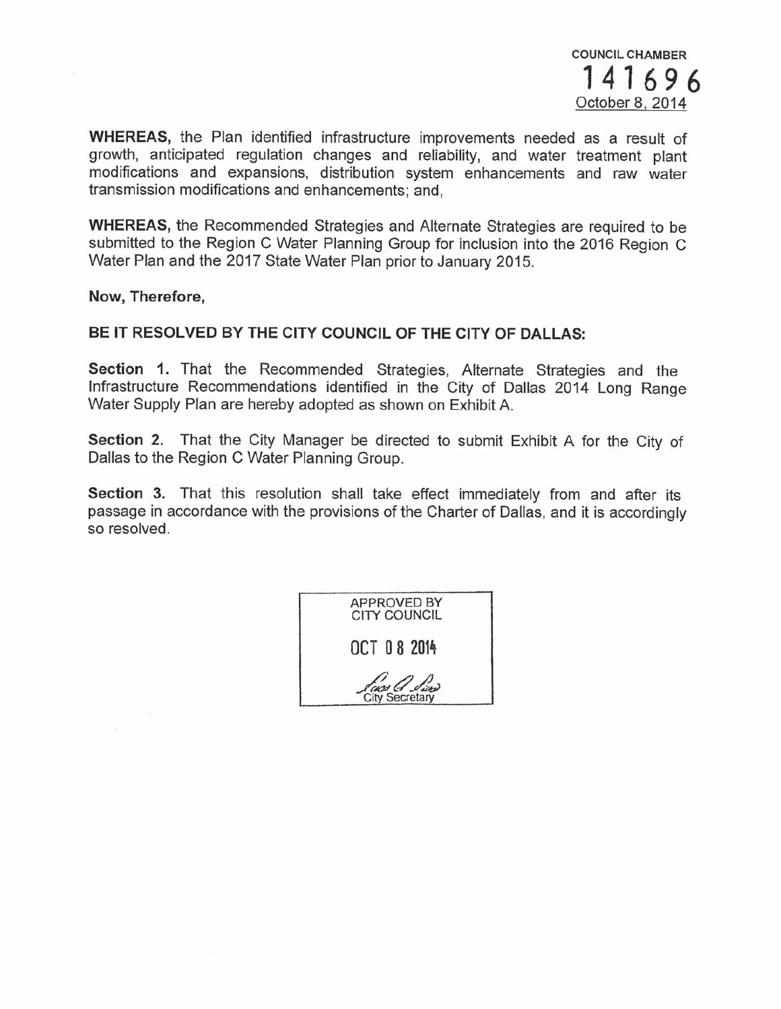

WHEREAS, the Plan identified infrastructure improvements needed as a result of growth, anticipated regulation changes and reliability, and water treatment plant modifications and expansions, distribution system enhancements and raw water transmission modifications and enhancements; and,

**WHEREAS**, the Recommended Strategies and Alternate Strategies are required to be submitted to the Region C Water Planning Group for inclusion into the 2016 Region C Water Plan and the 2017 State Water Plan prior to January 2015.

Now, Therefore,

### BE IT RESOLVED BY THE CITY COUNCIL OF THE CITY OF DALLAS:

Section 1. That the Recommended Strategies, Alternate Strategies and the Infrastructure Recommendations identified in the City of Dallas 2014 Long Range Water Supply Plan are hereby adopted as shown on Exhibit A.

Section 2. That the City Manager be directed to submit Exhibit A for the City of Dallas to the Region C Water Planning Group.

Section 3. That this resolution shall take effect immediately from and after its passage in accordance with the provisions of the Charter of Dallas, and it is accordingly so resolved.

| <b>APPROVED BY</b><br><b>CITY COUNCIL</b> |
|-------------------------------------------|
| OCT 08 2014                               |
| From G. Line                              |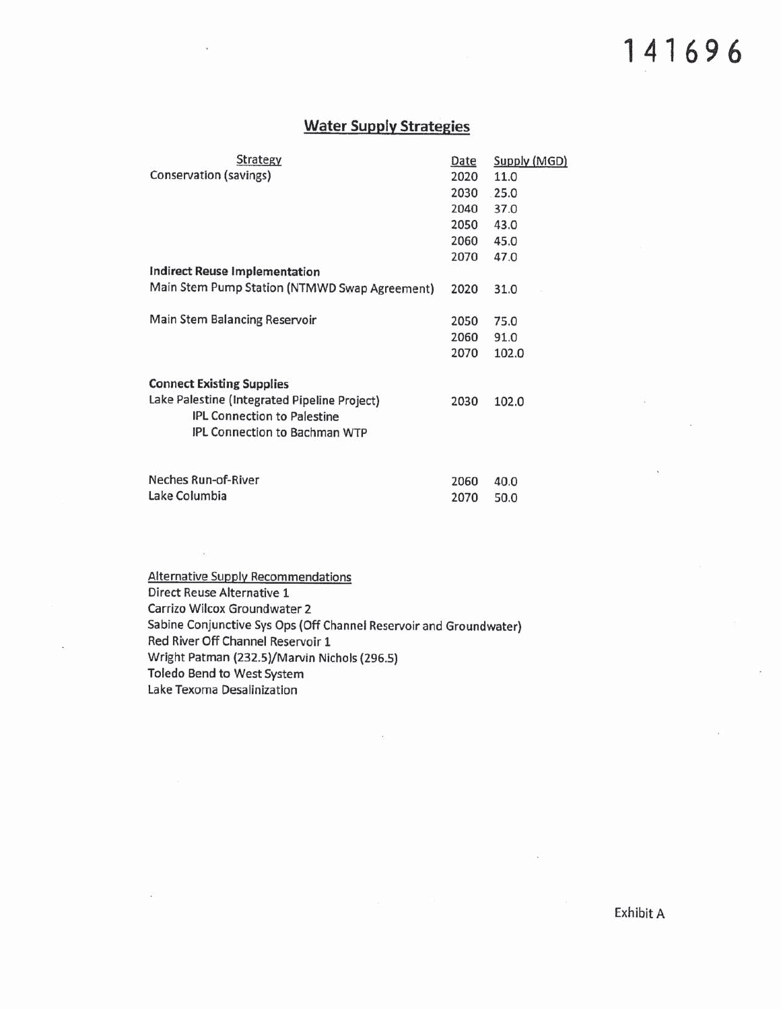## 141696

#### **Water Supply Strategies**

| Strategy                                                                           | Date | Supply (MGD) |
|------------------------------------------------------------------------------------|------|--------------|
| Conservation (savings)                                                             | 2020 | 11.0         |
|                                                                                    | 2030 | 25.0         |
|                                                                                    | 2040 | 37.0         |
|                                                                                    | 2050 | 43.0         |
|                                                                                    | 2060 | 45.0         |
|                                                                                    | 2070 | 47.0         |
| <b>Indirect Reuse Implementation</b>                                               |      |              |
| Main Stem Pump Station (NTMWD Swap Agreement)                                      | 2020 | 31.0         |
|                                                                                    |      |              |
| Main Stem Balancing Reservoir                                                      | 2050 | 75.0         |
|                                                                                    | 2060 | 91.0         |
|                                                                                    | 2070 | 102.0        |
| <b>Connect Existing Supplies</b>                                                   |      |              |
|                                                                                    |      |              |
| Lake Palestine (Integrated Pipeline Project)<br><b>IPL Connection to Palestine</b> | 2030 | 102.0        |
| IPL Connection to Bachman WTP                                                      |      |              |
|                                                                                    |      |              |
| Neches Run-of-River                                                                |      |              |
|                                                                                    | 2060 | 40.0         |

2070

50.0

**Alternative Supply Recommendations** Direct Reuse Alternative 1 Carrizo Wilcox Groundwater 2 Sabine Conjunctive Sys Ops (Off Channel Reservoir and Groundwater) Red River Off Channel Reservoir 1 Wright Patman (232.5)/Marvin Nichols (296.5) Toledo Bend to West System Lake Texoma Desalinization

Lake Columbia

Exhibit A